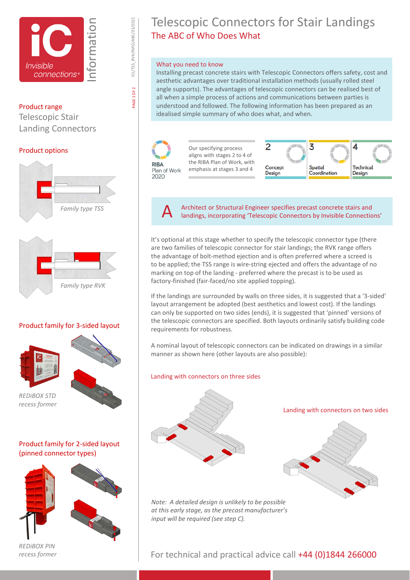

### Product range

Telescopic Stair Landing Connectors

#### Product options



## Product family for 3-sided layout





*REDiBOX STD recess former* 

## Product family for 2-sided layout (pinned connector types)





*REDiBOX PIN recess former* 

# Telescopic Connectors for Stair Landings The ABC of Who Does What

#### What you need to know

Installing precast concrete stairs with Telescopic Connectors offers safety, cost and aesthetic advantages over traditional installation methods (usually rolled steel angle supports). The advantages of telescopic connectors can be realised best of all when a simple process of actions and communications between parties is understood and followed. The following information has been prepared as an idealised simple summary of who does what, and when.



Architect or Structural Engineer specifies precast concrete stairs and landings, incorporating 'Telescopic Connectors by Invisible Connections'

It's optional at this stage whether to specify the telescopic connector type (there are two families of telescopic connector for stair landings; the RVK range offers the advantage of bolt-method ejection and is often preferred where a screed is to be applied; the TSS range is wire-string ejected and offers the advantage of no marking on top of the landing - preferred where the precast is to be used as factory-finished (fair-faced/no site applied topping).

If the landings are surrounded by walls on three sides, it is suggested that a '3-sided' layout arrangement be adopted (best aesthetics and lowest cost). If the landings can only be supported on two sides (ends), it is suggested that 'pinned' versions of the telescopic connectors are specified. Both layouts ordinarily satisfy building code requirements for robustness.

A nominal layout of telescopic connectors can be indicated on drawings in a similar manner as shown here (other layouts are also possible):

#### Landing with connectors on three sides



#### Landing with connectors on two sides



*Note: A detailed design is unlikely to be possible at this early stage, as the precast manufacturer's input will be required (see step C).* 

## For technical and practical advice call +44 (0)1844 266000

PAGE 1 OF 2

**AGE1OF2** 

ICL/TSS\_RVK/INFO/ABC/01/0221

ICL/TSS RVK/INFO/ABC/01/0221